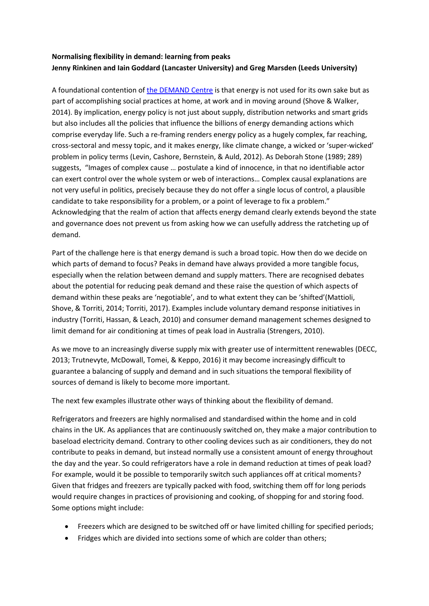## **Normalising flexibility in demand: learning from peaks Jenny Rinkinen and Iain Goddard (Lancaster University) and Greg Marsden (Leeds University)**

A foundational contention of [the DEMAND Centre](http://www.demand.ac.uk/) is that energy is not used for its own sake but as part of accomplishing social practices at home, at work and in moving around (Shove & Walker, 2014). By implication, energy policy is not just about supply, distribution networks and smart grids but also includes all the policies that influence the billions of energy demanding actions which comprise everyday life. Such a re-framing renders energy policy as a hugely complex, far reaching, cross-sectoral and messy topic, and it makes energy, like climate change, a wicked or 'super-wicked' problem in policy terms (Levin, Cashore, Bernstein, & Auld, 2012). As Deborah Stone (1989; 289) suggests, "Images of complex cause … postulate a kind of innocence, in that no identifiable actor can exert control over the whole system or web of interactions… Complex causal explanations are not very useful in politics, precisely because they do not offer a single locus of control, a plausible candidate to take responsibility for a problem, or a point of leverage to fix a problem." Acknowledging that the realm of action that affects energy demand clearly extends beyond the state and governance does not prevent us from asking how we can usefully address the ratcheting up of demand.

Part of the challenge here is that energy demand is such a broad topic. How then do we decide on which parts of demand to focus? Peaks in demand have always provided a more tangible focus, especially when the relation between demand and supply matters. There are recognised debates about the potential for reducing peak demand and these raise the question of which aspects of demand within these peaks are 'negotiable', and to what extent they can be 'shifted'(Mattioli, Shove, & Torriti, 2014; Torriti, 2017). Examples include voluntary demand response initiatives in industry (Torriti, Hassan, & Leach, 2010) and consumer demand management schemes designed to limit demand for air conditioning at times of peak load in Australia (Strengers, 2010).

As we move to an increasingly diverse supply mix with greater use of intermittent renewables (DECC, 2013; Trutnevyte, McDowall, Tomei, & Keppo, 2016) it may become increasingly difficult to guarantee a balancing of supply and demand and in such situations the temporal flexibility of sources of demand is likely to become more important.

The next few examples illustrate other ways of thinking about the flexibility of demand.

Refrigerators and freezers are highly normalised and standardised within the home and in cold chains in the UK. As appliances that are continuously switched on, they make a major contribution to baseload electricity demand. Contrary to other cooling devices such as air conditioners, they do not contribute to peaks in demand, but instead normally use a consistent amount of energy throughout the day and the year. So could refrigerators have a role in demand reduction at times of peak load? For example, would it be possible to temporarily switch such appliances off at critical moments? Given that fridges and freezers are typically packed with food, switching them off for long periods would require changes in practices of provisioning and cooking, of shopping for and storing food. Some options might include:

- Freezers which are designed to be switched off or have limited chilling for specified periods;
- Fridges which are divided into sections some of which are colder than others;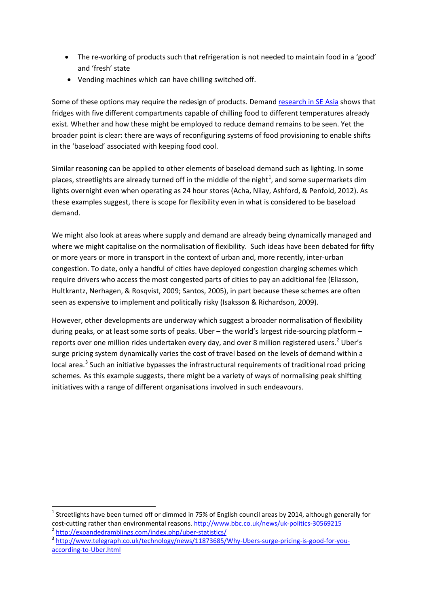- The re-working of products such that refrigeration is not needed to maintain food in a 'good' and 'fresh' state
- Vending machines which can have chilling switched off.

Some of these options may require the redesign of products. Demand research [in SE Asia](http://www.demand.ac.uk/situations-sites-sectors/#asia) shows that fridges with five different compartments capable of chilling food to different temperatures already exist. Whether and how these might be employed to reduce demand remains to be seen. Yet the broader point is clear: there are ways of reconfiguring systems of food provisioning to enable shifts in the 'baseload' associated with keeping food cool.

Similar reasoning can be applied to other elements of baseload demand such as lighting. In some places, streetlights are already turned off in the middle of the night<sup>[1](#page-1-0)</sup>, and some supermarkets dim lights overnight even when operating as 24 hour stores (Acha, Nilay, Ashford, & Penfold, 2012). As these examples suggest, there is scope for flexibility even in what is considered to be baseload demand.

We might also look at areas where supply and demand are already being dynamically managed and where we might capitalise on the normalisation of flexibility. Such ideas have been debated for fifty or more years or more in transport in the context of urban and, more recently, inter-urban congestion. To date, only a handful of cities have deployed congestion charging schemes which require drivers who access the most congested parts of cities to pay an additional fee (Eliasson, Hultkrantz, Nerhagen, & Rosqvist, 2009; Santos, 2005), in part because these schemes are often seen as expensive to implement and politically risky (Isaksson & Richardson, 2009).

However, other developments are underway which suggest a broader normalisation of flexibility during peaks, or at least some sorts of peaks. Uber – the world's largest ride-sourcing platform – reports over one million rides undertaken every day, and over 8 million registered users.<sup>[2](#page-1-1)</sup> Uber's surge pricing system dynamically varies the cost of travel based on the levels of demand within a local area.<sup>[3](#page-1-2)</sup> Such an initiative bypasses the infrastructural requirements of traditional road pricing schemes. As this example suggests, there might be a variety of ways of normalising peak shifting initiatives with a range of different organisations involved in such endeavours.

<span id="page-1-0"></span> $1$  Streetlights have been turned off or dimmed in 75% of English council areas by 2014, although generally for cost-cutting rather than environmental reasons.<http://www.bbc.co.uk/news/uk-politics-30569215><br>
Attp://expandedramblings.com/index.php/uber-statistics/<br>
3 http://www.telegraph.co.uk/technology/news/11873685/Why-Ubers-surge

<span id="page-1-1"></span>

<span id="page-1-2"></span>[according-to-Uber.html](http://www.telegraph.co.uk/technology/news/11873685/Why-Ubers-surge-pricing-is-good-for-you-according-to-Uber.html)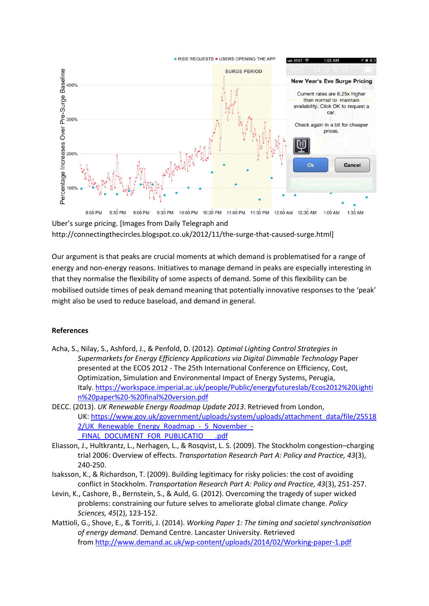

Uber's surge pricing. [Images from Daily Telegraph and http://connectingthecircles.blogspot.co.uk/2012/11/the-surge-that-caused-surge.html]

Our argument is that peaks are crucial moments at which demand is problematised for a range of energy and non-energy reasons. Initiatives to manage demand in peaks are especially interesting in that they normalise the flexibility of some aspects of demand. Some of this flexibility can be mobilised outside times of peak demand meaning that potentially innovative responses to the 'peak' might also be used to reduce baseload, and demand in general.

## **References**

- Acha, S., Nilay, S., Ashford, J., & Penfold, D. (2012). *Optimal Lighting Control Strategies in Supermarkets for Energy Efficiency Applications via Digital Dimmable Technology* Paper presented at the ECOS 2012 - The 25th International Conference on Efficiency, Cost, Optimization, Simulation and Environmental Impact of Energy Systems, Perugia, Italy[. https://workspace.imperial.ac.uk/people/Public/energyfutureslab/Ecos2012%20Lighti](https://workspace.imperial.ac.uk/people/Public/energyfutureslab/Ecos2012%20Lightin%20paper%20-%20final%20version.pdf) [n%20paper%20-%20final%20version.pdf](https://workspace.imperial.ac.uk/people/Public/energyfutureslab/Ecos2012%20Lightin%20paper%20-%20final%20version.pdf)
- DECC. (2013). *UK Renewable Energy Roadmap Update 2013*. Retrieved from London, UK: [https://www.gov.uk/government/uploads/system/uploads/attachment\\_data/file/25518](https://www.gov.uk/government/uploads/system/uploads/attachment_data/file/255182/UK_Renewable_Energy_Roadmap_-_5_November_-_FINAL_DOCUMENT_FOR_PUBLICATIO___.pdf) [2/UK\\_Renewable\\_Energy\\_Roadmap\\_-\\_5\\_November\\_-](https://www.gov.uk/government/uploads/system/uploads/attachment_data/file/255182/UK_Renewable_Energy_Roadmap_-_5_November_-_FINAL_DOCUMENT_FOR_PUBLICATIO___.pdf) FINAL\_DOCUMENT\_FOR\_PUBLICATIO \_\_\_.pdf
- Eliasson, J., Hultkrantz, L., Nerhagen, L., & Rosqvist, L. S. (2009). The Stockholm congestion–charging trial 2006: Overview of effects. *Transportation Research Part A: Policy and Practice, 43*(3), 240-250.
- Isaksson, K., & Richardson, T. (2009). Building legitimacy for risky policies: the cost of avoiding conflict in Stockholm. *Transportation Research Part A: Policy and Practice, 43*(3), 251-257.
- Levin, K., Cashore, B., Bernstein, S., & Auld, G. (2012). Overcoming the tragedy of super wicked problems: constraining our future selves to ameliorate global climate change. *Policy Sciences, 45*(2), 123-152.
- Mattioli, G., Shove, E., & Torriti, J. (2014). *Working Paper 1: The timing and societal synchronisation of energy demand*. Demand Centre. Lancaster University. Retrieved from<http://www.demand.ac.uk/wp-content/uploads/2014/02/Working-paper-1.pdf>